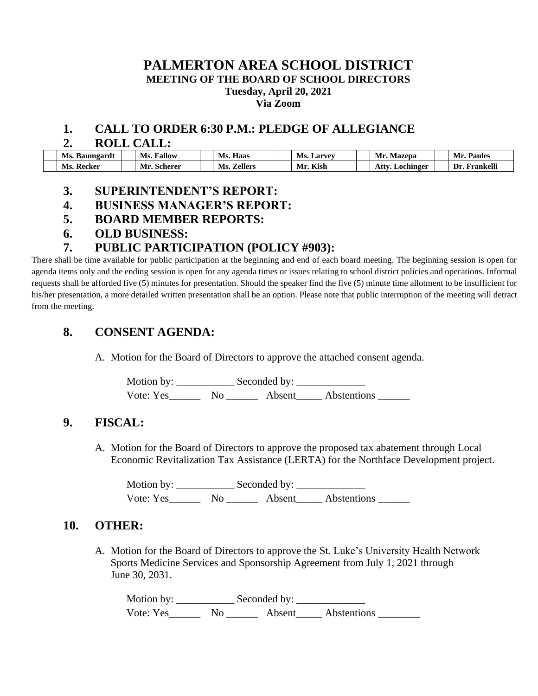#### **PALMERTON AREA SCHOOL DISTRICT**

**MEETING OF THE BOARD OF SCHOOL DIRECTORS**

**Tuesday, April 20, 2021**

**Via Zoom**

#### **1. CALL TO ORDER 6:30 P.M.: PLEDGE OF ALLEGIANCE**

#### **2. ROLL CALL:**

| Ms.<br>Baumgardt | <b>Fallow</b><br>Ms. | Ms.<br>Haas    | Ms.<br>Larvey               | Mr.<br>Mazepa     | Paules<br>Mr     |
|------------------|----------------------|----------------|-----------------------------|-------------------|------------------|
| Ms.<br>Recker    | Мr<br>Scherer        | Ms.<br>Zellers | $T/T$ $+$ $+$<br>Mr<br>Kıst | Atty<br>Lochinger | - Dr<br>Frankelh |

#### **3. SUPERINTENDENT'S REPORT:**

- **4. BUSINESS MANAGER'S REPORT:**
- **5. BOARD MEMBER REPORTS:**
- **6. OLD BUSINESS:**

## **7. PUBLIC PARTICIPATION (POLICY #903):**

There shall be time available for public participation at the beginning and end of each board meeting. The beginning session is open for agenda items only and the ending session is open for any agenda times or issues relating to school district policies and operations. Informal requests shall be afforded five (5) minutes for presentation. Should the speaker find the five (5) minute time allotment to be insufficient for his/her presentation, a more detailed written presentation shall be an option. Please note that public interruption of the meeting will detract from the meeting.

## **8. CONSENT AGENDA:**

A. Motion for the Board of Directors to approve the attached consent agenda.

Motion by: \_\_\_\_\_\_\_\_\_\_\_\_\_\_\_\_\_\_\_ Seconded by: \_\_\_\_\_\_\_\_ Vote: Yes\_\_\_\_\_\_ No \_\_\_\_\_\_ Absent\_\_\_\_\_ Abstentions \_\_\_\_\_\_

## **9. FISCAL:**

A. Motion for the Board of Directors to approve the proposed tax abatement through Local Economic Revitalization Tax Assistance (LERTA) for the Northface Development project.

Motion by: \_\_\_\_\_\_\_\_\_\_\_ Seconded by: \_\_\_\_\_\_\_\_\_\_\_\_\_ Vote: Yes No Absent Abstentions

## **10. OTHER:**

A. Motion for the Board of Directors to approve the St. Luke's University Health Network Sports Medicine Services and Sponsorship Agreement from July 1, 2021 through June 30, 2031.

Motion by: \_\_\_\_\_\_\_\_\_\_\_ Seconded by: \_\_\_\_\_\_\_\_\_\_\_\_\_ Vote: Yes\_\_\_\_\_\_\_\_\_ No \_\_\_\_\_\_\_\_\_ Absent\_\_\_\_\_\_ Abstentions \_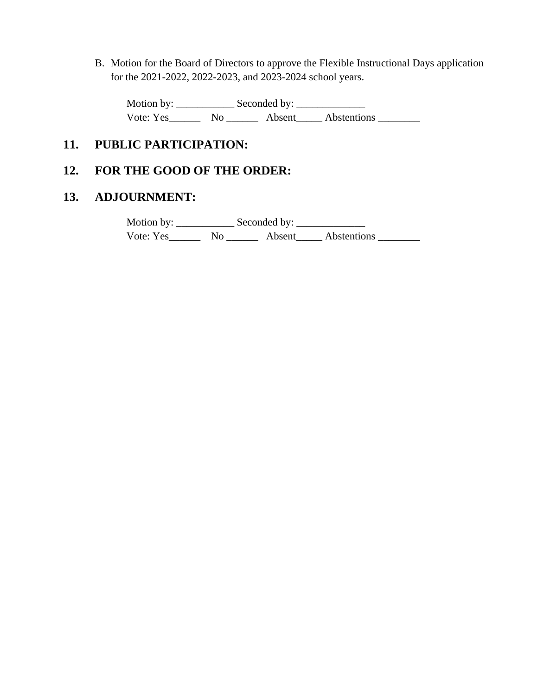B. Motion for the Board of Directors to approve the Flexible Instructional Days application for the 2021-2022, 2022-2023, and 2023-2024 school years.

Motion by: \_\_\_\_\_\_\_\_\_\_\_ Seconded by: \_\_\_\_\_\_\_\_\_\_\_\_\_ Vote: Yes\_\_\_\_\_\_\_\_ No \_\_\_\_\_\_\_\_ Absent\_\_\_\_\_Abstentions \_\_\_\_\_\_\_\_\_\_\_\_\_\_\_\_\_\_\_\_\_\_\_\_\_\_\_

## **11. PUBLIC PARTICIPATION:**

## **12. FOR THE GOOD OF THE ORDER:**

### **13. ADJOURNMENT:**

Motion by: Seconded by: Vote: Yes\_\_\_\_\_\_\_\_ No \_\_\_\_\_\_\_\_ Absent\_\_\_\_\_ Abstentions \_\_\_\_\_\_\_\_\_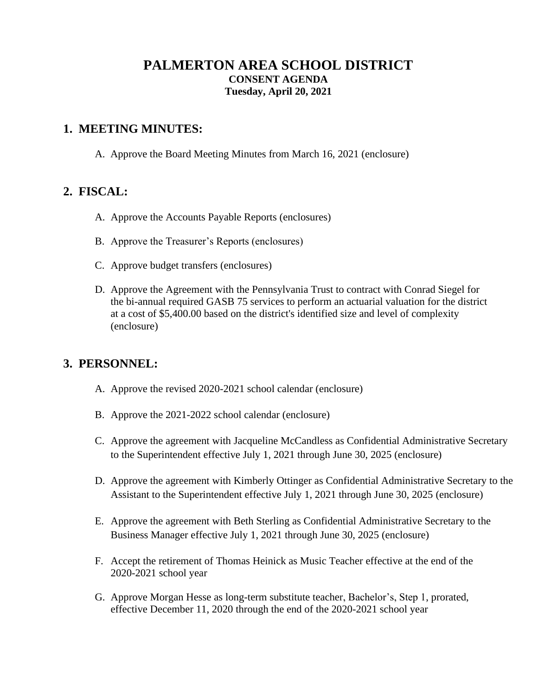## **PALMERTON AREA SCHOOL DISTRICT CONSENT AGENDA Tuesday, April 20, 2021**

### **1. MEETING MINUTES:**

A. Approve the Board Meeting Minutes from March 16, 2021 (enclosure)

#### **2. FISCAL:**

- A. Approve the Accounts Payable Reports (enclosures)
- B. Approve the Treasurer's Reports (enclosures)
- C. Approve budget transfers (enclosures)
- D. Approve the Agreement with the Pennsylvania Trust to contract with Conrad Siegel for the bi-annual required GASB 75 services to perform an actuarial valuation for the district at a cost of \$5,400.00 based on the district's identified size and level of complexity (enclosure)

## **3. PERSONNEL:**

- A. Approve the revised 2020-2021 school calendar (enclosure)
- B. Approve the 2021-2022 school calendar (enclosure)
- C. Approve the agreement with Jacqueline McCandless as Confidential Administrative Secretary to the Superintendent effective July 1, 2021 through June 30, 2025 (enclosure)
- D. Approve the agreement with Kimberly Ottinger as Confidential Administrative Secretary to the Assistant to the Superintendent effective July 1, 2021 through June 30, 2025 (enclosure)
- E. Approve the agreement with Beth Sterling as Confidential Administrative Secretary to the Business Manager effective July 1, 2021 through June 30, 2025 (enclosure)
- F. Accept the retirement of Thomas Heinick as Music Teacher effective at the end of the 2020-2021 school year
- G. Approve Morgan Hesse as long-term substitute teacher, Bachelor's, Step 1, prorated, effective December 11, 2020 through the end of the 2020-2021 school year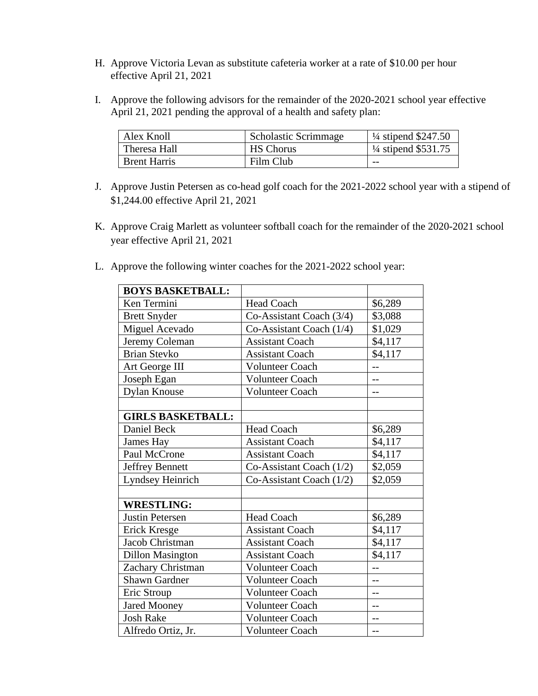- H. Approve Victoria Levan as substitute cafeteria worker at a rate of \$10.00 per hour effective April 21, 2021
- I. Approve the following advisors for the remainder of the 2020-2021 school year effective April 21, 2021 pending the approval of a health and safety plan:

| Alex Knoll          | <b>Scholastic Scrimmage</b> | $\frac{1}{4}$ stipend \$247.50 |
|---------------------|-----------------------------|--------------------------------|
| Theresa Hall        | <b>HS Chorus</b>            | $\frac{1}{4}$ stipend \$531.75 |
| <b>Brent Harris</b> | Film Club                   | $- -$                          |

- J. Approve Justin Petersen as co-head golf coach for the 2021-2022 school year with a stipend of \$1,244.00 effective April 21, 2021
- K. Approve Craig Marlett as volunteer softball coach for the remainder of the 2020-2021 school year effective April 21, 2021
- L. Approve the following winter coaches for the 2021-2022 school year:

| <b>BOYS BASKETBALL:</b>  |                            |         |
|--------------------------|----------------------------|---------|
| Ken Termini              | <b>Head Coach</b>          | \$6,289 |
| <b>Brett Snyder</b>      | Co-Assistant Coach (3/4)   | \$3,088 |
| Miguel Acevado           | Co-Assistant Coach (1/4)   | \$1,029 |
| Jeremy Coleman           | <b>Assistant Coach</b>     | \$4,117 |
| <b>Brian Stevko</b>      | <b>Assistant Coach</b>     | \$4,117 |
| Art George III           | <b>Volunteer Coach</b>     | $-$     |
| Joseph Egan              | <b>Volunteer Coach</b>     | $-$     |
| <b>Dylan Knouse</b>      | Volunteer Coach            | $-1$    |
|                          |                            |         |
| <b>GIRLS BASKETBALL:</b> |                            |         |
| Daniel Beck              | <b>Head Coach</b>          | \$6,289 |
| James Hay                | <b>Assistant Coach</b>     | \$4,117 |
| Paul McCrone             | <b>Assistant Coach</b>     | \$4,117 |
| Jeffrey Bennett          | Co-Assistant Coach $(1/2)$ | \$2,059 |
| Lyndsey Heinrich         | Co-Assistant Coach $(1/2)$ | \$2,059 |
|                          |                            |         |
| <b>WRESTLING:</b>        |                            |         |
| Justin Petersen          | <b>Head Coach</b>          | \$6,289 |
| Erick Kresge             | <b>Assistant Coach</b>     | \$4,117 |
| Jacob Christman          | <b>Assistant Coach</b>     | \$4,117 |
| <b>Dillon Masington</b>  | <b>Assistant Coach</b>     | \$4,117 |
| Zachary Christman        | Volunteer Coach            | $-$     |
| <b>Shawn Gardner</b>     | <b>Volunteer Coach</b>     | $-$     |
| Eric Stroup              | <b>Volunteer Coach</b>     | $-$     |
| <b>Jared Mooney</b>      | <b>Volunteer Coach</b>     | --      |
| <b>Josh Rake</b>         | <b>Volunteer Coach</b>     | $-$     |
| Alfredo Ortiz, Jr.       | <b>Volunteer Coach</b>     | $-$     |